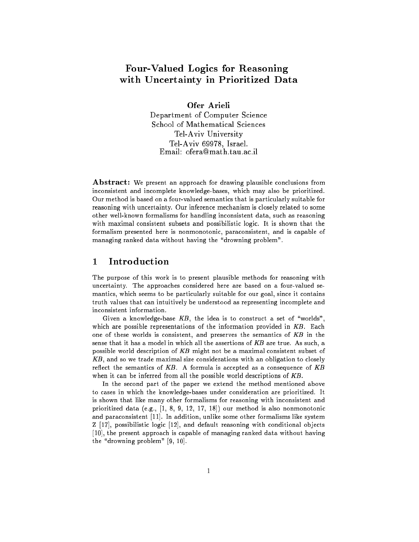# Four-Valued Logics for Reasoning with Uncertainty in Prioritized Data

Ofer Arieli

Department of Computer Science School of Mathematical Sciences Tel-Aviv University Tel-Aviv 69978, Israel. Email: ofera@math.tau.ac.il

Abstract: We present an approach for drawing plausible conclusions from inconsistent and incomplete knowledge-bases, which may also be prioritized. Our method is based on a four-valued semantics that is particularly suitable for reasoning with uncertainty. Our inference mechanism is closely related to some other well-known formalisms for handling inconsistent data, such as reasoning with maximal consistent subsets and possibilistic logic. It is shown that the formalism presented here is nonmonotonic, paraconsistent, and is capable of managing ranked data without having the "drowning problem".

### 1 Introduction  $\mathbf 1$

The purpose of this work is to present plausible methods for reasoning with uncertainty. The approaches considered here are based on a four-valued semantics, which seems to be particularly suitable for our goal, since it contains truth values that can intuitively be understood as representing incomplete and inconsistent information.

Given a knowledge-base  $KB$ , the idea is to construct a set of "worlds", which are possible representations of the information provided in KB. Each one of these worlds is consistent, and preserves the semantics of KB in the sense that it has a model in which all the assertions of KB are true. As such, a possible world description of KB might not be a maximal consistent subset of KB, and so we trade maximal size considerations with an obligation to closely reflect the semantics of  $KB$ . A formula is accepted as a consequence of  $KB$ when it can be inferred from all the possible world descriptions of KB.

In the second part of the paper we extend the method mentioned above to cases in which the knowledge-bases under consideration are prioritized. It is shown that like many other formalisms for reasoning with inconsistent and prioritized data (e.g., [1, 8, 9, 12, 17, 18]) our method is also nonmonotonic and paraconsistent [11]. In addition, unlike some other formalisms like system Z [17], possibilistic logic [12], and default reasoning with conditional objects [10], the present approach is capable of managing ranked data without having the "drowning problem"  $[9, 10]$ .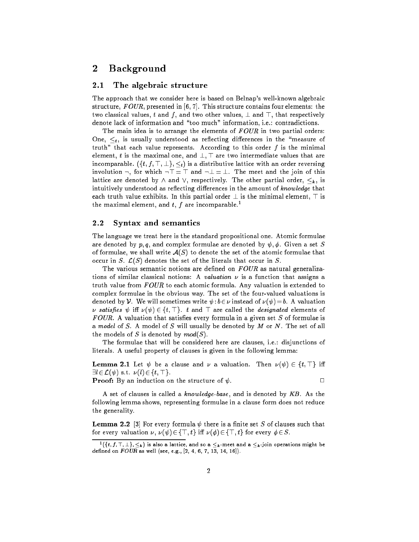### $\overline{2}$ **Background**

### 2.1 The algebraic structure

The approach that we consider here is based on Belnap's well-known algebraic structure,  $FOUR$ , presented in [6, 7]. This structure contains four elements: the two classical values, t and f, and two other values,  $\perp$  and  $\top$ , that respectively denote lack of information and "too much" information, i.e.: contradictions.

The main idea is to arrange the elements of  $FOUR$  in two partial orders: One,  $\leq_t$ , is usually understood as reflecting differences in the "measure of truth" that each value represents. According to this order  $f$  is the minimal element, t is the maximal one, and  $\bot$ ,  $\top$  are two intermediate values that are incomparable.  $(\{t, f, \top, \bot\}, \leq_t)$  is a distributive lattice with an order reversing involution  $\neg$ , for which  $\neg$   $\top$  =  $\top$  and  $\neg$   $\bot$  =  $\bot$ . The meet and the join of this lattice are denoted by  $\land$  and  $\lor$ , respectively. The other partial order,  $\leq_k$ , is intuitively understood as reflecting differences in the amount of knowledge that each truth value exhibits. In this partial order  $\perp$  is the minimal element,  $\top$  is the maximal element, and t, f are incomparable.<sup>1</sup>

## 2.2 Syntax and semantics

The language we treat here is the standard propositional one. Atomic formulae are denoted by  $p, q$ , and complex formulae are denoted by  $\psi, \phi$ . Given a set S of formulae, we shall write  $A(S)$  to denote the set of the atomic formulae that occur in S.  $\mathcal{L}(S)$  denotes the set of the literals that occur in S.

The various semantic notions are defined on  $FOUR$  as natural generalizations of similar classical notions: A valuation  $\nu$  is a function that assigns a truth value from  $FOUR$  to each atomic formula. Any valuation is extended to complex formulae in the obvious way. The set of the four-valued valuations is denoted by V. We will sometimes write  $\psi : b \in \nu$  instead of  $\nu(\psi) = b$ . A valuation s satisfies i ( )  $\epsilon$  ,  $\epsilon$  ,  $\epsilon$  ,  $\epsilon$  ,  $\epsilon$  ,  $\epsilon$  , and  $\epsilon$  are called the designation of  $\epsilon$ FOUR. A valuation that satisfies every formula in a given set  $S$  of formulae is a model of  $S$ . A model of  $S$  will usually be denoted by  $M$  or  $N$ . The set of all the models of S is denoted by  $mod(S)$ .

The formulae that will be considered here are clauses, i.e.: disjunctions of literals. A useful property of clauses is given in the following lemma:

**Lemma 2.1** Let  $\psi$  be a clause and  $\nu$  a valuation. Then  $\nu(\psi) \in \{t, \top\}$  iff  $\exists l \in \mathcal{L}(\psi) \text{ s.t. } \nu(l) \in \{t, \top\}.$ 

**Proof:** By an induction on the structure of  $\psi$ .

A set of clauses is called a knowledge-base, and is denoted by KB. As the following lemma shows, representing formulae in a clause form does not reduce the generality.

**Lemma 2.2** [3] For every formula  $\psi$  there is a finite set S of clauses such that for every valuation  $\nu$ ,  $\nu(\psi) \in {\{\top, t\}}$  iff  $\nu(\phi) \in {\{\top, t\}}$  for every  $\phi \in S$ .

 $\{i, j, r, \bot\}$ ,  $\leq_k$  ) is also a lattice, and so a  $\leq_k$  -meet and a  $\leq_k$  -join operations might be defined on  $FOUR$  as well (see, e.g.,  $[2, 4, 6, 7, 13, 14, 16]$ ).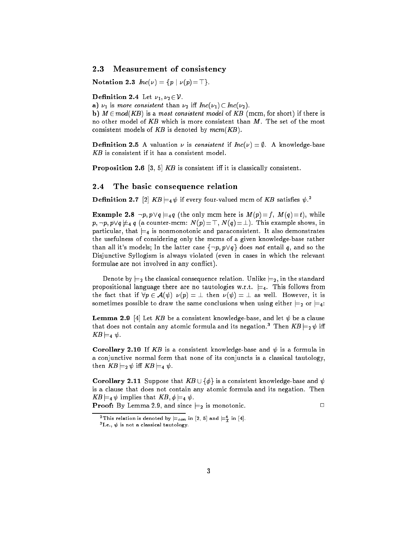## 2.3 Measurement of consistency

Notation 2.3  $Inc(\nu) = \{p \mid \nu(p) = \top\}.$ 

Definition 2.4 Let  $\nu_1, \nu_2 \in \mathcal{V}$ .

a)  $\nu_1$  is more consistent than  $\nu_2$  iff  $Inc(\nu_1) \subset Inc(\nu_2)$ .

b)  $M \in mod(KB)$  is a most consistent model of KB (mcm, for short) if there is no other model of KB which is more consistent than M. The set of the most consistent models of  $KB$  is denoted by  $mcm(KB)$ .

**Definition 2.5** A valuation  $\nu$  is consistent if  $Inc(\nu) = \emptyset$ . A knowledge-base KB is consistent if it has a consistent model.

**Proposition 2.6** [3, 5] KB is consistent iff it is classically consistent.

#### $2.4$ The basic consequence relation

**Definition 2.7** [2]  $\mathbf{A} \mathbf{B} \models_4 \psi$  if every four-valued mcm of  $\mathbf{A} \mathbf{B}$  satisfies  $\psi$ .

**Example 2.8**  $\neg p, p \lor q \models_4 q$  (the only mcm here is  $M(p)=f, M(q)=t$ ), while  $p$ ;  $p$ ,  $p$ ,  $p$ ,  $p$ ,  $p$ ,  $p$  (a counter-manner shows). This example shows, in this example shows, in this example shows, in particular, that  $\models_4$  is nonmonotonic and paraconsistent. It also demonstrates the usefulness of considering only the mcms of a given knowledge-base rather than all it's models; In the latter case  $\{\neg p, p \lor q\}$  does not entail q, and so the Disjunctive Syllogism is always violated (even in cases in which the relevant formulae are not involved in any conflict).

Denote by  $\models_2$  the classical consequence relation. Unlike  $\models_2$ , in the standard propositional language there are no tautologies w.r.t.  $\models$ 4. This follows from the fact that if  $\forall p \in \mathcal{A}(\psi) \ \nu(p) = \bot$  then  $\nu(\psi) = \bot$  as well. However, it is sometimes possible to draw the same conclusions when using either  $\models_2$  or  $\models_4$ :

**Lemma 2.9** [4] Let KB be a consistent knowledge-base, and let  $\psi$  be a clause that does not contain any atomic formula and its negation.<sup>3</sup> Then  $KB \models_2 \psi$  iff --- . <del>.</del> .

Corollary 2.10 If KB is a consistent knowledge-base and  $\psi$  is a formula in a conjunctive normal form that none of its conjuncts is a classical tautology, then  $KB \models_2 \psi$  iff  $KB \models_4 \psi$ .

**Corollary 2.11** Suppose that  $KB \cup \{\phi\}$  is a consistent knowledge-base and  $\psi$ is a clause that does not contain any atomic formula and its negation. Then KB j=4 implies that KB ; j=4 .

**Proof:** By Lemma 2.9, and since  $\equiv_2$  is monotonic.

 $\Box$ 

<sup>-</sup> Inis relation is denoted by  $\models_{con}$  in [2, 5] and  $\models_{\mathcal{I}}$  in [4].

 $\lnot$  is not a classical tautology.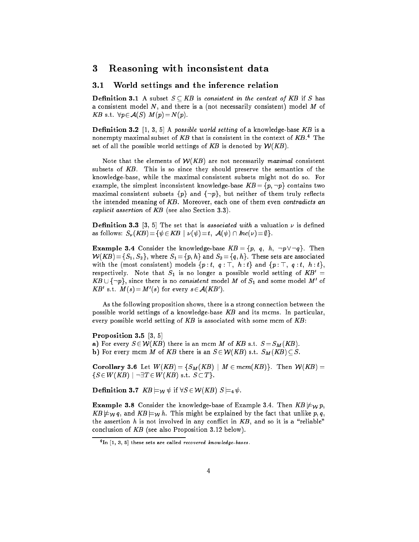### 3 Reasoning with inconsistent data 3

### 3.1 World settings and the inference relation

**Definition 3.1** A subset  $S \subseteq KB$  is consistent in the context of KB if S has a consistent model  $N$ , and there is a (not necessarily consistent) model  $M$  of ... ... ... ... ... ... ...

**Definition 3.2**  $[1, 3, 5]$  A possible world setting of a knowledge-base KB is a nonempty maximal subset of  $\Lambda D$  that is consistent in the context of  $\Lambda D$ . The set of all the possible world settings of KB is denoted by  $W(KB)$ .

Note that the elements of  $W(KB)$  are not necessarily maximal consistent subsets of KB. This is so since they should preserve the semantics of the knowledge-base, while the maximal consistent subsets might not do so. For example, the simplest inconsistent knowledge-base  $KB = \{p, \neg p\}$  contains two maximal consistent subsets  $\{p\}$  and  $\{\neg p\}$ , but neither of them truly reflects the intended meaning of KB. Moreover, each one of them even contradicts an explicit assertion of KB (see also Section 3.3).

**Definition 3.3** [3, 5] The set that is *associated with* a valuation  $\nu$  is defined as follows:  $S_{\nu}(KB) = \{ \psi \in KB \mid \nu(\psi) = t, \mathcal{A}(\psi) \cap Inc(\nu) = \emptyset \}.$ 

**Example 3.4** Consider the knowledge-base  $KB = \{p, q, h, \neg p \lor \neg q\}$ . Then  $\mathcal{W}(KB)$  = { $S_1$ ,  $S_2$ }, where  $S_1$  = { $p, h$ } and  $S_2$  = { $q, h$ }. These sets are associated with the (most consistent) models  $\{p : t, q : \top, h : t\}$  and  $\{p : \top, q : t, h : t\}$ , respectively. Note that  $S_1$  is no longer a possible world setting of  $KB' =$  $\mathbf{A} \mathbf{B} \cup \{ \neg p \}$ , since there is no *consistent* model *M* of  $\mathbf{S}_1$  and some model *M* of  $\mathbf{A} \mathbf{B}$  s.t.  $\mathbf{M}(s) = \mathbf{M}(s)$  for every  $s \in \mathcal{A}( \mathbf{A} \mathbf{B} )$ .

As the following proposition shows, there is a strong connection between the possible world settings of a knowledge-base  $KB$  and its mcms. In particular, every possible world setting of  $KB$  is associated with some mcm of  $KB$ :

### Proposition 3.5 [3, 5]

a) For every  $S \in \mathcal{W}(KB)$  there is an mcm M of KB s.t.  $S = S_M(KB)$ . **b**) For every mcm M of KB there is an  $S \in \mathcal{W}(KB)$  s.t.  $S_M(KB) \subseteq S$ .

**Corollary 3.6** Let  $W(KB) = \{S_M(KB) \mid M \in \text{mcm}(KB)\}\$ . Then  $W(KB) =$  $\{S \in W(KB) \mid \neg \exists T \in W(KB) \text{ s.t. } S \subset T\}.$ 

**Definition 3.7**  $KB \models_{\mathcal{W}} \psi$  if  $\forall S \in \mathcal{W}(KB)$   $S \models_4 \psi$ .

**Example 3.8** Consider the knowledge-base of Example 3.4. Then  $KB \not\models \psi p$ ,  $\mathbf{f}$  ,  $\mathbf{y}$  ,  $\mathbf{y}$  , and the j=w h. This might be explained by the fact that unlike p;  $\mathbf{q}$ the assertion  $h$  is not involved in any conflict in  $KB$ , and so it is a "reliable" conclusion of KB (see also Proposition 3.12 below).

<sup>4</sup> In [1, 3, 5] these sets are called recovered knowledge-bases .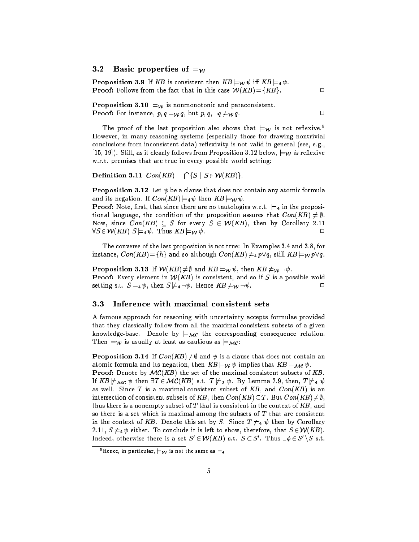## 3.2 Basic properties of  $\models_W$

**Proposition 3.9** If KB is consistent then  $KB \models_{\mathcal{W}} \psi$  iff  $KB \models_4 \psi$ . **Proof:** Follows from the fact that in this case  $W(KB) = \{KB\}$ .

**Proposition 3.10**  $\models_W$  is nonmonotonic and paraconsistent. **Proof:** For instance,  $p, q \models_W q$ , but  $p, q, \neg q \not\models_W q$ .

The proof of the last proposition also shows that  $\models_W$  is not reflexive.<sup>5</sup> However, in many reasoning systems (especially those for drawing nontrivial conclusions from inconsistent data) reflexivity is not valid in general (see, e.g., [15, 19]). Still, as it clearly follows from Proposition 3.12 below,  $\models_W$  is reflexive w.r.t. premises that are true in every possible world setting:

Definition 3.11  $Con(KB) = \bigcap \{S \mid S \in \mathcal{W}(KB)\}.$ 

**Proposition 3.12** Let  $\psi$  be a clause that does not contain any atomic formula and its negation. If  $Con(KB) \models_4 \psi$  then  $KB \models_{\mathcal{W}} \psi$ .

**Proof:** Note, first, that since there are no tautologies w.r.t.  $\models_4$  in the propositional language, the condition of the proposition assures that  $Con(KB) \neq \emptyset$ . Now, since  $Con(KB) \subseteq S$  for every  $S \in \mathcal{W}(KB)$ , then by Corollary 2.11  $\forall S \in \mathcal{W}(KB)$   $S \models_4 \psi$ . Thus  $KB \models_{\mathcal{W}} \psi$ .  $\Box$ 

The converse of the last proposition is not true: In Examples 3.4 and 3.8, for instance,  $Con(KB) = \{h\}$  and so although  $Con(KB) \neq_{4} p \vee q$ , still  $KB \models_{\mathcal{W}} p \vee q$ .

**Proposition 3.13** If  $W(KB) \neq \emptyset$  and  $KB \models_W \psi$ , then  $KB \not\models_W \neg \psi$ . **Proof:** Every element in  $W(KB)$  is consistent, and so if S is a possible wold setting s.t.  $S \models_4 \psi$ , then  $S \not\models_4 \neg \psi$ . Hence  $KB \not\models \psi \neg \psi$ .  $\Box$ 

#### $3.3$ Inference with maximal consistent sets

A famous approach for reasoning with uncertainty accepts formulae provided that they classically follow from all the maximal consistent subsets of a given knowledge-base. Denote by  $\models_\mathcal{MC}$  the corresponding consequence relation. Then  $\models_W$  is usually at least as cautious as  $\models_\mathcal{MC}$ :

**Proposition 3.14** If  $Con(KB) \neq \emptyset$  and  $\psi$  is a clause that does not contain an atomic formula and its negation, then  $KB \models_{\mathcal{W}} \psi$  implies that  $KB \models_{\mathcal{MC}} \psi$ .

**Proof:** Denote by  $MC(KB)$  the set of the maximal consistent subsets of KB. If  $KB \not\models_{\mathcal{MC}} \psi$  then  $\exists T \in \mathcal{MC}(KB)$  s.t.  $T \not\models_2 \psi$ . By Lemma 2.9, then,  $T \not\models_4 \psi$ as well. Since T is a maximal consistent subset of  $KB$ , and  $Con(KB)$  is an intersection of consistent subsets of KB, then  $Con(KB) \subset T$ . But  $Con(KB) \neq \emptyset$ . thus there is a nonempty subset of  $T$  that is consistent in the context of  $KB$ , and so there is a set which is maximal among the subsets of  $T$  that are consistent in the context of KB. Denote this set by S. Since  $T \not\models_4 \psi$  then by Corollary 2.11,  $S \not\models_4 \psi$  either. To conclude it is left to show, therefore, that  $S \in \mathcal{W}(KB)$ . Indeed, otherwise there is a set  $S \in V \cap \Delta B$  is t.  $S \subset S$  . Thus  $\exists \emptyset \in S \setminus S$  s.t.

<sup>&</sup>lt;sup>5</sup>Hence, in particular,  $\models$  w is not the same as  $\models$ 4.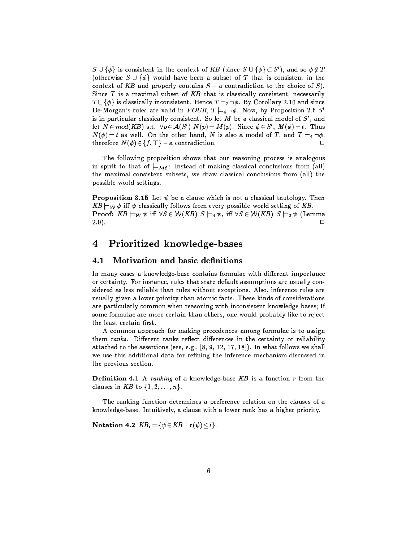$S \cup \{\varphi\}$  is consistent in the context of  $AD$  (since  $S \cup \{\varphi\} \subset S$ ), and so  $\varphi \notin I$ (otherwise  $S \cup \{\phi\}$  would have been a subset of T that is consistent in the context of KB and properly contains  $S - a$  contradiction to the choice of  $S$ ). Since  $T$  is a maximal subset of  $KB$  that is classically consistent, necessarily The figure is consistent of  $\mathcal{L}$  is consistent. Hence  $\mathcal{L}$  is an original  $\mathcal{L}$  and since  $\mathcal{L}$ De-Morgan's rules are valid in  $FOUR$ ,  $T \models_4 \neg \phi$ . Now, by Proposition 2.6 S' is in particular classically consistent. So let  $M$  be a classical model of  $S$  , and let  $N \in mod(NB)$  s.t.  $\forall p \in \mathcal{A}(S)$  |  $N(p) = M(p)$ . Since  $\varphi \in S$ ,  $M(\varphi) = t$ . Thus  $N(\phi) = t$  as well. On the other hand, N is also a model of T, and  $T \models_4 \neg \phi$ , therefore  $N(\phi) \in \{f, \top\}$  – a contradiction.  $\Box$ 

The following proposition shows that our reasoning process is analogous in spirit to that of  $\models_{\mathcal{MC}}$ : Instead of making classical conclusions from (all) the maximal consistent subsets, we draw classical conclusions from (all) the possible world settings.

**Proposition 3.15** Let  $\psi$  be a clause which is not a classical tautology. Then  $\mathbf{f}$  is well-world from every follows from every  $\mathbf{f}$  is the setting of  $\mathbf{f}$ . **Proof:**  $KB \models_W \psi$  iff  $\forall S \in \mathcal{W}(KB)$   $S \models_4 \psi$ , iff  $\forall S \in \mathcal{W}(KB)$   $S \models_2 \psi$  (Lemma 2.9). <sup>2</sup>

## 4 Prioritized knowledge-bases

#### Motivation and basic definitions  $4.1$

In many cases a knowledge-base contains formulae with different importance or certainty. For instance, rules that state default assumptions are usually considered as less reliable than rules without exceptions. Also, inference rules are usually given a lower priority than atomic facts. These kinds of considerations are particularly common when reasoning with inconsistent knowledge-bases; If some formulae are more certain than others, one would probably like to reject the least certain first.

A common approach for making precedences among formulae is to assign them ranks. Different ranks reflect differences in the certainty or reliability attached to the assertions (see, e.g., [8, 9, 12, 17, 18]). In what follows we shall we use this additional data for refining the inference mechanism discussed in the previous section.

**Definition 4.1** A ranking of a knowledge-base  $KB$  is a function r from the clauses in KB to  $\{1, 2, \ldots, n\}$ .

The ranking function determines a preference relation on the clauses of a knowledge-base. Intuitively, a clause with a lower rank has a higher priority.

Notation 4.2  $KB_i = \{ \psi \in KB \mid r(\psi) \leq i \}.$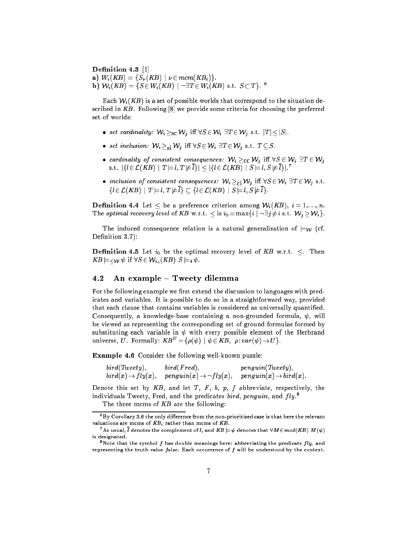Definition 4.3 [1] a)  $W_i(KB) = \{S_\nu(KB) \mid \nu \in \text{mcm}(KB_i)\}.$  $\mathbf{D}$ )  $\mathbf{W}_i(\mathbf{\Lambda}D) = \{ \mathcal{S} \in \mathbf{W}_i(\mathbf{\Lambda}D) \mid \neg \exists \mathbf{I} \in \mathbf{W}_i(\mathbf{\Lambda}D) \text{ s.t. } \mathcal{S} \subset \mathbf{I} \}$ .

Each  $\mathcal{W}_i(KB)$  is a set of possible worlds that correspond to the situation described in  $KB$ . Following  $[8]$  we provide some criteria for choosing the preferred set of worlds:

- set cardinality:  $\mathcal{W}_i \geq_{\text{sc}} \mathcal{W}_j$  iff  $\forall S \in \mathcal{W}_i \exists T \in \mathcal{W}_j$  s.t.  $|T| \leq |S|$ .
- set inclusion:  $\mathcal{W}_i \geq_{\text{si}} \mathcal{W}_j$  iff  $\forall S \in \mathcal{W}_i \ \exists T \in \mathcal{W}_j$  s.t.  $T \subseteq S$ .
- cardinality of consistent consequences:  $W_i \geq_{\text{CC}} W_j$  iff  $\forall S \in \mathcal{W}_i \exists T \in \mathcal{W}_j$ S.L.  $\vert \{i \in L(\Lambda B) \mid I \models i, I \not \models i\} \vert \leq \vert \{i \in L(\Lambda B) \mid S \models i, S \not \models i\} \vert.$
- inclusion of consistent consequences:  $W_i \geq_{ci} W_j$  iff  $\forall S \in \mathcal{W}_i \exists T \in \mathcal{W}_j$  s.t.  $\{l \in \mathcal{L}(KB) \mid T \models l, T \not\models \overline{l}\} \subseteq \{l \in \mathcal{L}(KB) \mid S \models l, S \not\models \overline{l}\}.$

**Definition 4.4** Let  $\leq$  be a preference criterion among  $\mathcal{W}_i(KB)$ ,  $i = 1, \ldots, n$ . The optimal recovery level of KB w.r.t.  $\leq$  is  $i_0 = \max\{i \mid \neg \exists j \neq i \text{ s.t. } W_j \geq W_i\}.$ 

The induced consequence relation is a natural generalization of  $\models_W$  (cf. Definition 3.7):

**Definition 4.5** Let  $i_0$  be the optimal recovery level of KB w.r.t.  $\leq$ . Then  $\frac{1}{1}$  ( XII if  $\frac{1}{1}$  if  $\frac{1}{1}$  if  $\frac{1}{1}$  if  $\frac{1}{1}$  . The set of  $\frac{1}{1}$  if  $\frac{1}{1}$  if  $\frac{1}{1}$  if  $\frac{1}{1}$  if  $\frac{1}{1}$  if  $\frac{1}{1}$  if  $\frac{1}{1}$  if  $\frac{1}{1}$  if  $\frac{1}{1}$  if  $\frac{1}{1}$  if  $\frac{1}{1}$ 

### An example  $-$  Tweety dilemma 4.2

For the following example we first extend the discussion to languages with predicates and variables. It is possible to do so in a straightforward way, provided that each clause that contains variables is considered as universally quantied. Consequently, a knowledge-base containing a non-grounded formula,  $\psi$ , will be viewed as representing the corresponding set of ground formulae formed by substituting each variable in  $\psi$  with every possible element of the Herbrand universe, U. Formally:  $KB^U = {\rho(\psi) | \psi \in KB, \rho : var(\psi) \rightarrow U}.$ 

Example 4.6 Consider the following well-known puzzle:

| bird(Tweety),                 | bird(Fred),                           | penguin(Tweety),                  |
|-------------------------------|---------------------------------------|-----------------------------------|
| $bird(x) \rightarrow fly(x),$ | $penguin(x) \rightarrow \neg fly(x),$ | $penguin(x) \rightarrow bird(x).$ |

Denote this set by  $KB$ , and let T, F, b, p, f abbreviate, respectively, the individuals I weety, Fred, and the predicates  $\it{otra},$   $\it{penquin},$  and  $\it{fiy}.$ 

The three mcms of  $KB$  are the following:

 $6By$  Corollary 3.6 the only difference from the non-prioritized case is that here the relevant valuations are mcms of  $KB_i$  rather than mcms of  $KB$ .

 $^7$  As usual,  $\bar{l}$  denotes the complement of  $l,$  and  $KB \models \psi$  denotes that  $\forall M \! \in \! mod(KB) \; M(\psi)$ is designated.

<sup>&</sup>lt;sup>8</sup>Note that the symbol f has double meanings here: abbreviating the predicate fly, and representing the truth value  $false$ . Each occurrence of  $f$  will be understood by the context.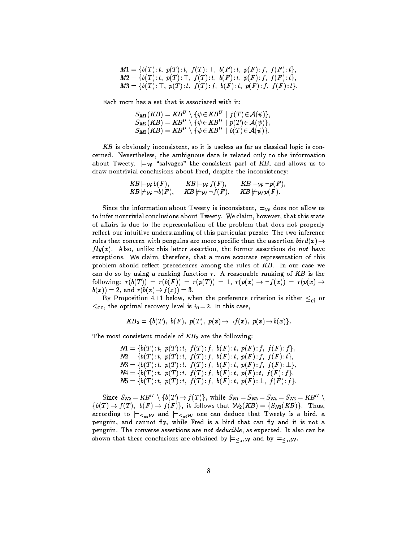| $M1 = \{b(T): t, p(T): t, f(T): \top, b(F): t, p(F): f, f(F): t\},\$ |  |  |  |
|----------------------------------------------------------------------|--|--|--|
| $M2 = \{b(T): t, p(T): \top, f(T): t, b(F): t, p(F): f, f(F): t\},\$ |  |  |  |
| $M3 = \{b(T): \top, p(T): t, f(T): f, b(F): t, p(F): f, f(F): t\}.$  |  |  |  |

Each mcm has a set that is associated with it:

| $S_{M1}(KB) = KB^U \setminus \{ \psi \in KB^U \mid f(T) \in \mathcal{A}(\psi) \},$ |  |
|------------------------------------------------------------------------------------|--|
| $S_{M2}(KB) = KB^U \setminus \{ \psi \in KB^U \mid p(T) \in \mathcal{A}(\psi) \},$ |  |
| $S_{M3}(KB) = KB^U \setminus \{ \psi \in KB^U \mid b(T) \in \mathcal{A}(\psi) \}.$ |  |

KB is obviously inconsistent, so it is useless as far as classical logic is concerned. Nevertheless, the ambiguous data is related only to the information about Tweety.  $\models_W$  "salvages" the consistent part of KB, and allows us to draw nontrivial conclusions about Fred, despite the inconsistency:

$$
KB \models_{\mathcal{W}} b(F), \qquad KB \models_{\mathcal{W}} f(F), \qquad KB \models_{\mathcal{W}} \neg p(F), KB \not\models_{\mathcal{W}} \neg b(F), \qquad KB \not\models_{\mathcal{W}} \neg f(F), \qquad KB \not\models_{\mathcal{W}} p(F).
$$

Since the information about Tweety is inconsistent,  $\models w$  does not allow us to infer nontrivial conclusions about Tweety. We claim, however, that this state of affairs is due to the representation of the problem that does not properly reflect our intuitive understanding of this particular puzzle: The two inference rules that concern with penguins are more specific than the assertion  $bird(x) \rightarrow$  $fly(x)$ . Also, unlike this latter assertion, the former assertions do not have exceptions. We claim, therefore, that a more accurate representation of this problem should reflect precedences among the rules of KB. In our case we can do so by using a ranking function  $r$ . A reasonable ranking of  $KB$  is the following:  $r(b(T)) = r(b(F)) = r(p(T)) = 1$ ,  $r(p(x) \rightarrow \neg f(x)) = r(p(x) \rightarrow \neg f(x))$  $b(x)) = 2$ , and  $r(b(x) \to f(x)) = 3$ .

By Proposition 4.11 below, when the preference criterion is either  $\leq_{ci}$  or  $\leq_{\text{cc}}$ , the optimal recovery level is  $i_0 = 2$ . In this case,

$$
KB_2 = \{b(T), b(F), p(T), p(x) \to \neg f(x), p(x) \to b(x)\}.
$$

The most consistent models of  $KB<sub>2</sub>$  are the following:

 $N1 = \{b(T) : t, p(T) : t, f(T) : f, b(F) : t, p(F) : f, f(F) : f\},\$  $N2 = \{b(T) : t, p(T) : t, f(T) : f, b(F) : t, p(F) : f, f(F) : t\},\$  $N3 = \{b(T) : t, p(T) : t, f(T) : f, b(F) : t, p(F) : f, f(F) : \bot\},$  $N4 = \{b(T) : t, p(T) : t, f(T) : f, b(F) : t, p(F) : t, f(F) : f\},\$  $N5 = \{b(T) : t, p(T) : t, f(T) : f, b(F) : t, p(F) : \bot, f(F) : f\}.$ 

Since  $S_{N2} = \mathbf{A} \mathbf{B}^T \setminus \{0,1\} \rightarrow J(1)$ ; while  $S_{N1} = S_{N3} = S_{N4} = S_{N5} = \mathbf{A} \mathbf{B}^T \setminus \{0,1\}$  $\{b(T) \rightarrow f(T), b(F) \rightarrow f(F)\}\$ , it follows that  $\mathcal{W}_2(KB) = \{S_{N2}(KB)\}\$ . Thus, according to  $\models_{\leq_{ce}W}$  and  $\models_{\leq_{ci}W}$  one can deduce that Tweety is a bird, a penguin, and cannot fly, while Fred is a bird that can fly and it is not a penguin. The converse assertions are not deducible, as expected. It also can be shown that these conclusions are obtained by  $\models_{\leq_{\varepsilon\circ}W}$  and by  $\models_{\leq_{\varepsilon\circ}W}$ .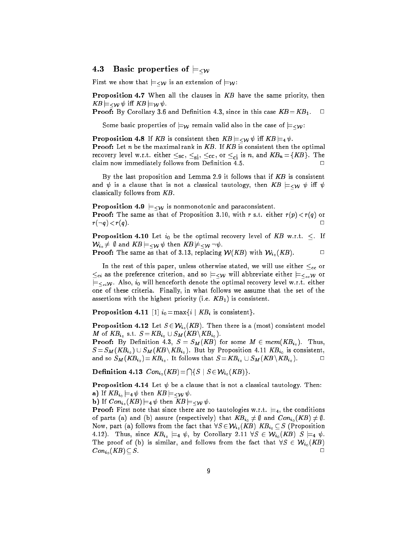## 4.5 basic properties of  $\equiv *w*$

First we show that  $\models<\!\omega$  is an extension of  $\models\psi$ :

Proposition 4.7 When all the clauses in KB have the same priority, then  $\frac{1}{1}$  . We are the set of  $\frac{1}{1}$ 

**Proof:** By Corollary 3.6 and Definition 4.3, since in this case  $KB = KB_1$ .  $\Box$ 

Some basic properties of  $\models_{\mathcal{W}}$  remain valid also in the case of  $\models_{\leq \mathcal{W}}$ :

**Proposition 4.8** If KB is consistent then  $KB \models <\!\! \sim \psi$  iff  $KB \models_4 \psi$ . **Proof:** Let  $n$  be the maximal rank in  $KB$ . If  $KB$  is consistent then the optimal recovery level w.r.t. either  $\leq_{sc}$ ,  $\leq_{si}$ ,  $\leq_{cc}$ , or  $\leq_{ci}$  is n, and  $KB_n = \{KB\}$ . The claim now immediately follows from Definition 4.5.  $\Box$ 

By the last proposition and Lemma 2.9 it follows that if KB is consistent and  $\psi$  is a clause that is not a classical tautology, then  $KB \models <\!\! \psi \psi$  iff  $\psi$ classically follows from KB.

**Proposition 4.9**  $\models\leq_W$  is nonmonotonic and paraconsistent. **Proof:** The same as that of Proposition 3.10, with r s.t. either  $r(p) < r(q)$  or  $r(\neg q) < r(q)$ .

**Proposition 4.10** Let  $i_0$  be the optimal recovery level of KB w.r.t.  $\leq$ . If  $\mathcal{W}_{i_0} \neq \emptyset$  and  $KB \models_{\leq \mathcal{W}} \psi$  then  $KB \not\models_{\leq \mathcal{W}} \neg \psi$ .

**Proof:** The same as that of 3.13, replacing  $W(KB)$  with  $W_{i_0}(KB)$ .

In the rest of this paper, unless otherwise stated, we will use either  $\leq_{cc}$  or  $\leq_{ci}$  as the preference criterion, and so  $\models_{\leq w}$  will abbreviate either  $\models_{\leq_{cc}} w$  or  $\models<_{\epsilon i}$ W. Also,  $i_0$  will henceforth denote the optimal recovery level w.r.t. either one of these criteria. Finally, in what follows we assume that the set of the assertions with the highest priority (i.e.  $KB<sub>1</sub>$ ) is consistent.

**Proposition 4.11** [1]  $i_0 = \max\{i \mid KB_i$  is consistent}.

**Proposition 4.12** Let  $S \in \mathcal{W}_{i_0}(KB)$ . Then there is a (most) consistent model  $\cdots$   $\cdots$   $\cdots$   $\cdots$   $\cdots$   $\cdots$   $\cdots$   $\cdots$   $\cdots$   $\cdots$   $\cdots$   $\cdots$   $\cdots$ 

**Proof:** By Definition 4.3,  $S = S_M(KB)$  for some  $M \in \text{mcm}(KB_{i_0})$ . Thus,  $S = \sum_{i=1}^n M_i$  (Fig. )  $S = \sum_{i=1}^n M_i$  (Fig. ). But  $\sum_{i=1}^n N_i$  is consistent,  $\sum_{i=1}^n N_i$ and so  $S_M(KB_{i_0})=KB_{i_0}$ . It follows that  $S = KB_{i_0} \cup S_M(KB \setminus KB_{i_0})$ .

Definition 4.13  $Con_{i_0}(KB) = \bigcap \{S \mid S \in \mathcal{W}_{i_0}(KB)\}.$ 

**Proposition 4.14** Let  $\psi$  be a clause that is not a classical tautology. Then: a) If  $KB_{i_0} \models_4 \psi$  then  $KB \models <\!\! \psi \psi$ .

**b)** If  $Con_{i_0}(KB) \models_4 \psi$  then  $KB \models_*w* \psi$ .

**Proof:** First note that since there are no tautologies w.r.t.  $\models_4$ , the conditions of parts (a) and (b) assure (respectively) that  $KB_{i_0} \neq \emptyset$  and  $Con_{i_0} (KB) \neq \emptyset$ . Now, part (a) follows from the fact that  $\forall S \in \mathcal{W}_{i_0}(KB)$   $KB_i_0 \subseteq S$  (Proposition 4.12). Thus, since  $KB_{i_0} \models_4 \psi$ , by Corollary 2.11  $\forall S \in \mathcal{W}_{i_0}(KB)$   $S \models_4 \psi$ . The proof of (b) is similar, and follows from the fact that  $\forall S \in \mathcal{W}_{i_0}(KB)$  $Con_{i_0}(KB) \subset S.$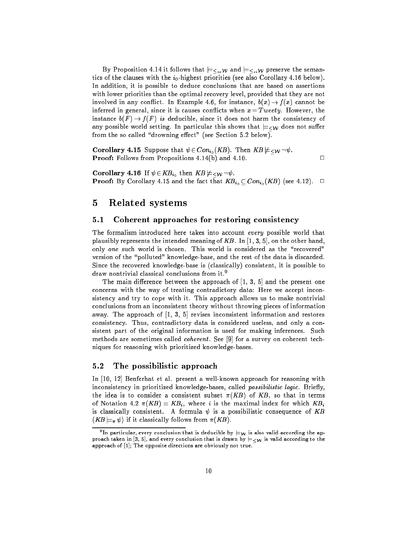By Proposition 4.14 it follows that  $\models_{\leq_{\epsilon\in\mathcal{W}}}$  and  $\models_{\leq_{\epsilon\in\mathcal{W}}}$  preserve the semantics of the clauses with the  $i_0$ -highest priorities (see also Corollary 4.16 below). In addition, it is possible to deduce conclusions that are based on assertions with lower priorities than the optimal recovery level, provided that they are not involved in any conflict. In Example 4.6, for instance,  $b(x) \rightarrow f(x)$  cannot be inferred in general, since it is causes conflicts when  $x = T$  weety. However, the instance  $b(F) \to f(F)$  is deducible, since it does not harm the consistency of any possible world setting. In particular this shows that  $\models<\!\omega$  does not suffer from the so called "drowning effect" (see Section  $5.2$  below).

**Corollary 4.15** Suppose that  $\psi \in Con_{i_0}(KB)$ . Then  $KB \nvDash_{\leq W} \neg \psi$ . Proof: Follows from Propositions 4.14(b) and 4.10.

**Corollary 4.16** If  $\psi \in KB_{i_0}$  then  $KB \not\models \leq_{\mathcal{W}} \neg \psi$ . **Proof:** By Corollary 4.15 and the fact that  $KB_{i_0} \subset Con_{i_0}(KB)$  (see 4.12).  $\Box$ 

 $\Box$ 

## 5 Related systems

### 5.1 Coherent approaches for restoring consistency

The formalism introduced here takes into account every possible world that plausibly represents the intended meaning of  $KB$ . In [1, 3, 5], on the other hand, only one such world is chosen. This world is considered as the "recovered" version of the "polluted" knowledge-base, and the rest of the data is discarded. Since the recovered knowledge-base is (classically) consistent, it is possible to draw nontrivial classical conclusions from it.9

The main difference between the approach of  $[1, 3, 5]$  and the present one concerns with the way of treating contradictory data: Here we accept inconsistency and try to cope with it. This approach allows us to make nontrivial conclusions from an inconsistent theory without throwing pieces of information away. The approach of [1, 3, 5] revises inconsistent information and restores consistency. Thus, contradictory data is considered useless, and only a consistent part of the original information is used for making inferences. Such methods are sometimes called coherent . See [9] for a survey on coherent techniques for reasoning with prioritized knowledge-bases.

## 5.2 The possibilistic approach

In [10, 12] Benferhat et al. present a well-known approach for reasoning with inconsistency in prioritized knowledge-bases, called possibilistic logic. Briefly, the idea is to consider a consistent subset  $\pi(KB)$  of KB, so that in terms of Notation 4.2  $\pi(KB) = KB_i$ , where i is the maximal index for which  $KB_i$ is classically consistent. A formula  $\psi$  is a possibilistic consequence of KB  $(KB \models_{\pi} \psi)$  if it classically follows from  $\pi(KB)$ .

The particular, every conclusion that is deducible by  $\models_\mathcal{W}$  is also valid according the approach taken in [3, 5], and every conclusion that is drawn by  $\models<\!\omega$  is valid according to the approach of [1]; The opposite directions are obviously not true.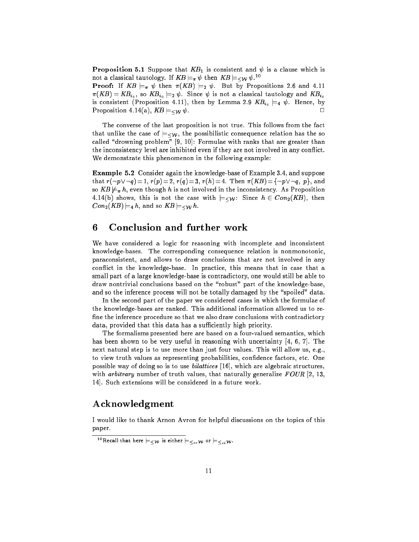**Proposition 5.1** Suppose that  $KB_1$  is consistent and  $\psi$  is a clause which is not a classical tautology. If  $\mathbf{A}\mathbf{D} \models_{\pi} \psi$  then  $\mathbf{A}\mathbf{D} \models <\!\!\mathcal{W} \mathcal{V}$ .

**Proof:** If  $KB \models_{\pi} \psi$  then  $\pi(KB) \models_2 \psi$ . But by Propositions 2.6 and 4.11  $\pi(KB) = KB_{i_0}$ , so  $KB_{i_0} \models_2 \psi$ . Since  $\psi$  is not a classical tautology and  $KB_{i_0}$ is consistent (Proposition 4.11), then by Lemma 2.9  $KB_{i_0} \models_4 \psi$ . Hence, by Proposition 4.14(a),  $KB \models \lt \sim \psi$ .

The converse of the last proposition is not true. This follows from the fact that unlike the case of  $\models<\psi$ , the possibilistic consequence relation has the so called "drowning problem"  $[9, 10]$ : Formulae with ranks that are greater than the inconsistency level are inhibited even if they are not involved in any conflict. We demonstrate this phenomenon in the following example:

Example 5.2 Consider again the knowledge-base of Example 3.4, and suppose that  $r(\neg p \lor \neg q)= 1$ ,  $r(p)= 2$ ,  $r(q)= 3$ ,  $r(h)= 4$ . Then  $\pi(KB)=\{\neg p \lor \neg q, p\}$ , and so  $KB \not\models_{\pi} h$ , even though h is not involved in the inconsistency. As Proposition 4.14(b) shows, this is not the case with  $\vert \equiv \langle \mathcal{W} \rangle$ : Since  $h \in Con_2(KB)$ , then  $Con_2(KB) \models_4 h$ , and so  $KB \models <\!\! \sim w h$ .

## 6

We have considered a logic for reasoning with incomplete and inconsistent knowledge-bases. The corresponding consequence relation is nonmonotonic, paraconsistent, and allows to draw conclusions that are not involved in any conflict in the knowledge-base. In practice, this means that in case that a small part of a large knowledge-base is contradictory, one would still be able to draw nontrivial conclusions based on the "robust" part of the knowledge-base, and so the inference process will not be totally damaged by the "spoiled" data.

In the second part of the paper we considered cases in which the formulae of the knowledge-bases are ranked. This additional information allowed us to re fine the inference procedure so that we also draw conclusions with contradictory data, provided that this data has a sufficiently high priority.

The formalisms presented here are based on a four-valued semantics, which has been shown to be very useful in reasoning with uncertainty  $[4, 6, 7]$ . The next natural step is to use more than just four values. This will allow us, e.g., to view truth values as representing probabilities, confidence factors, etc. One possible way of doing so is to use bilattices [16], which are algebraic structures, with *arbitrary* number of truth values, that naturally generalize  $F\text{O}\text{U}R$  [2, 13, 14]. Such extensions will be considered in a future work.

# Acknowledgment

I would like to thank Arnon Avron for helpful discussions on the topics of this paper.

<sup>&</sup>lt;sup>10</sup>Recall that here  $\models *w*$  is either  $\models <_{\leq c} *w*$  or  $\models <_{\leq c} *w*$ .